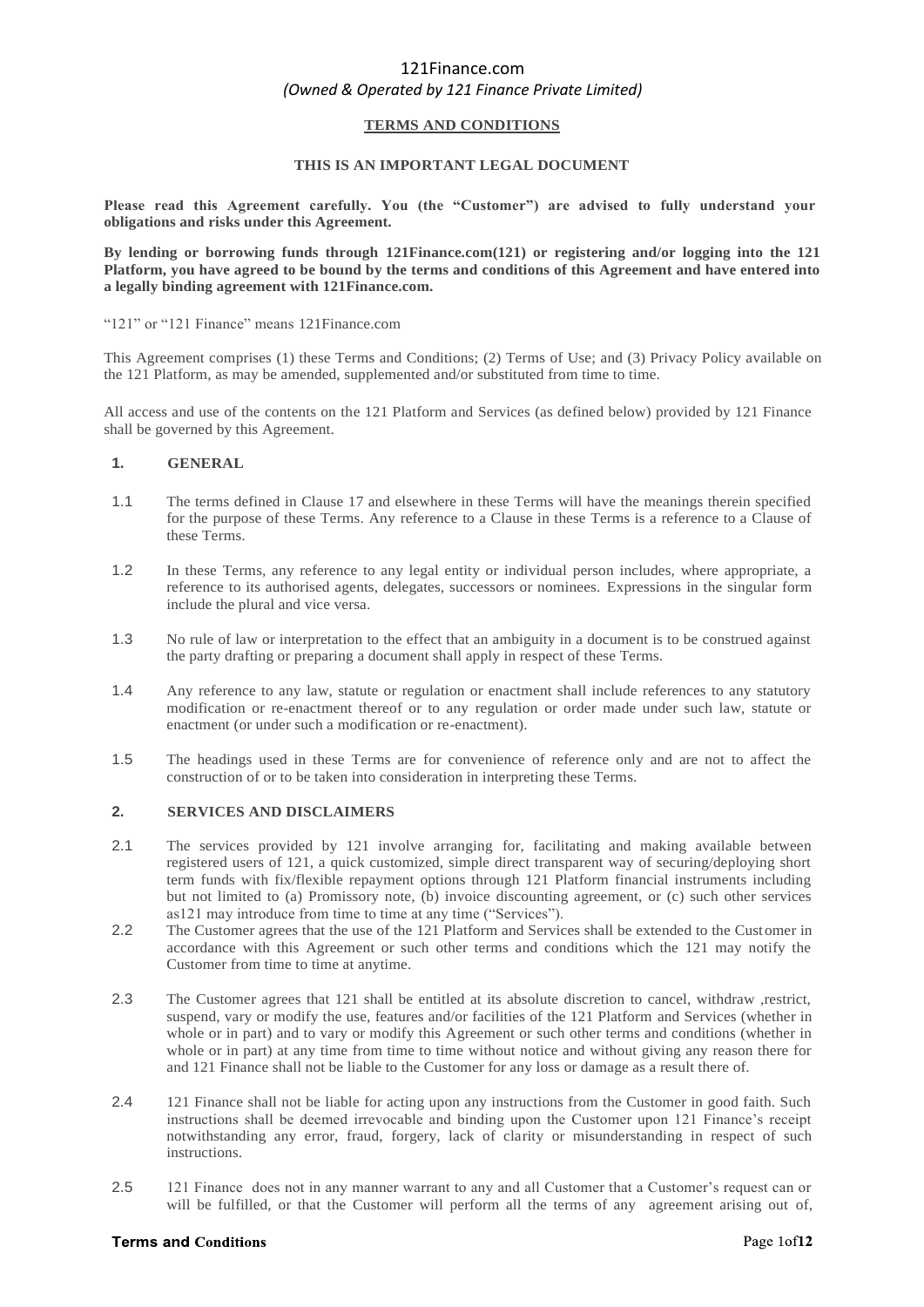## **TERMS AND CONDITIONS**

### **THIS IS AN IMPORTANT LEGAL DOCUMENT**

**Please read this Agreement carefully. You (the "Customer") are advised to fully understand your obligations and risks under this Agreement.** 

**By lending or borrowing funds through 121Finance.com(121) or registering and/or logging into the 121 Platform, you have agreed to be bound by the terms and conditions of this Agreement and have entered into a legally binding agreement with 121Finance.com.**

#### "121" or "121 Finance" means 121Finance.com

This Agreement comprises (1) these Terms and Conditions; (2) Terms of Use; and (3) Privacy Policy available on the 121 Platform, as may be amended, supplemented and/or substituted from time to time.

All access and use of the contents on the 121 Platform and Services (as defined below) provided by 121 Finance shall be governed by this Agreement.

### **1. GENERAL**

- 1.1 The terms defined in Clause 17 and elsewhere in these Terms will have the meanings therein specified for the purpose of these Terms. Any reference to a Clause in these Terms is a reference to a Clause of these Terms.
- 1.2 In these Terms, any reference to any legal entity or individual person includes, where appropriate, a reference to its authorised agents, delegates, successors or nominees. Expressions in the singular form include the plural and vice versa.
- 1.3 No rule of law or interpretation to the effect that an ambiguity in a document is to be construed against the party drafting or preparing a document shall apply in respect of these Terms.
- 1.4 Any reference to any law, statute or regulation or enactment shall include references to any statutory modification or re-enactment thereof or to any regulation or order made under such law, statute or enactment (or under such a modification or re-enactment).
- 1.5 The headings used in these Terms are for convenience of reference only and are not to affect the construction of or to be taken into consideration in interpreting these Terms.

#### **2. SERVICES AND DISCLAIMERS**

- 2.1 The services provided by 121 involve arranging for, facilitating and making available between registered users of 121, a quick customized, simple direct transparent way of securing/deploying short term funds with fix/flexible repayment options through 121 Platform financial instruments including but not limited to (a) Promissory note, (b) invoice discounting agreement, or (c) such other services as121 may introduce from time to time at any time ("Services").
- 2.2 The Customer agrees that the use of the 121 Platform and Services shall be extended to the Customer in accordance with this Agreement or such other terms and conditions which the 121 may notify the Customer from time to time at anytime.
- 2.3 The Customer agrees that 121 shall be entitled at its absolute discretion to cancel, withdraw ,restrict, suspend, vary or modify the use, features and/or facilities of the 121 Platform and Services (whether in whole or in part) and to vary or modify this Agreement or such other terms and conditions (whether in whole or in part) at any time from time to time without notice and without giving any reason there for and 121 Finance shall not be liable to the Customer for any loss or damage as a result there of.
- 2.4 121 Finance shall not be liable for acting upon any instructions from the Customer in good faith. Such instructions shall be deemed irrevocable and binding upon the Customer upon 121 Finance's receipt notwithstanding any error, fraud, forgery, lack of clarity or misunderstanding in respect of such instructions.
- 2.5 121 Finance does not in any manner warrant to any and all Customer that a Customer's request can or will be fulfilled, or that the Customer will perform all the terms of any agreement arising out of,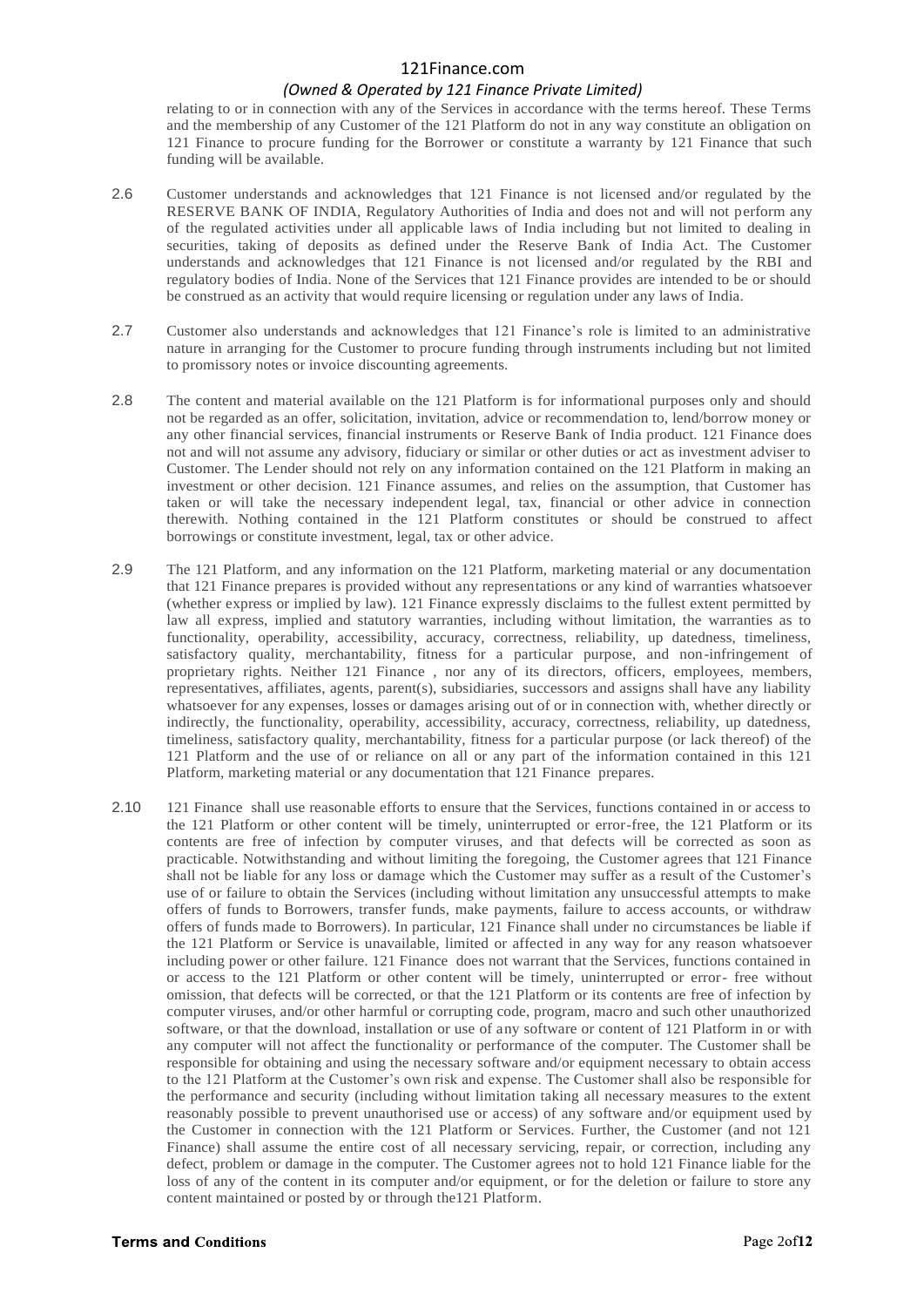# *(Owned & Operated by 121 Finance Private Limited)*

relating to or in connection with any of the Services in accordance with the terms hereof. These Terms and the membership of any Customer of the 121 Platform do not in any way constitute an obligation on 121 Finance to procure funding for the Borrower or constitute a warranty by 121 Finance that such funding will be available.

- 2.6 Customer understands and acknowledges that 121 Finance is not licensed and/or regulated by the RESERVE BANK OF INDIA, Regulatory Authorities of India and does not and will not perform any of the regulated activities under all applicable laws of India including but not limited to dealing in securities, taking of deposits as defined under the Reserve Bank of India Act. The Customer understands and acknowledges that 121 Finance is not licensed and/or regulated by the RBI and regulatory bodies of India. None of the Services that 121 Finance provides are intended to be or should be construed as an activity that would require licensing or regulation under any laws of India.
- 2.7 Customer also understands and acknowledges that 121 Finance's role is limited to an administrative nature in arranging for the Customer to procure funding through instruments including but not limited to promissory notes or invoice discounting agreements.
- 2.8 The content and material available on the 121 Platform is for informational purposes only and should not be regarded as an offer, solicitation, invitation, advice or recommendation to, lend/borrow money or any other financial services, financial instruments or Reserve Bank of India product. 121 Finance does not and will not assume any advisory, fiduciary or similar or other duties or act as investment adviser to Customer. The Lender should not rely on any information contained on the 121 Platform in making an investment or other decision. 121 Finance assumes, and relies on the assumption, that Customer has taken or will take the necessary independent legal, tax, financial or other advice in connection therewith. Nothing contained in the 121 Platform constitutes or should be construed to affect borrowings or constitute investment, legal, tax or other advice.
- 2.9 The 121 Platform, and any information on the 121 Platform, marketing material or any documentation that 121 Finance prepares is provided without any representations or any kind of warranties whatsoever (whether express or implied by law). 121 Finance expressly disclaims to the fullest extent permitted by law all express, implied and statutory warranties, including without limitation, the warranties as to functionality, operability, accessibility, accuracy, correctness, reliability, up datedness, timeliness, satisfactory quality, merchantability, fitness for a particular purpose, and non-infringement of proprietary rights. Neither 121 Finance , nor any of its directors, officers, employees, members, representatives, affiliates, agents, parent(s), subsidiaries, successors and assigns shall have any liability whatsoever for any expenses, losses or damages arising out of or in connection with, whether directly or indirectly, the functionality, operability, accessibility, accuracy, correctness, reliability, up datedness, timeliness, satisfactory quality, merchantability, fitness for a particular purpose (or lack thereof) of the 121 Platform and the use of or reliance on all or any part of the information contained in this 121 Platform, marketing material or any documentation that 121 Finance prepares.
- 2.10 121 Finance shall use reasonable efforts to ensure that the Services, functions contained in or access to the 121 Platform or other content will be timely, uninterrupted or error-free, the 121 Platform or its contents are free of infection by computer viruses, and that defects will be corrected as soon as practicable. Notwithstanding and without limiting the foregoing, the Customer agrees that 121 Finance shall not be liable for any loss or damage which the Customer may suffer as a result of the Customer's use of or failure to obtain the Services (including without limitation any unsuccessful attempts to make offers of funds to Borrowers, transfer funds, make payments, failure to access accounts, or withdraw offers of funds made to Borrowers). In particular, 121 Finance shall under no circumstances be liable if the 121 Platform or Service is unavailable, limited or affected in any way for any reason whatsoever including power or other failure. 121 Finance does not warrant that the Services, functions contained in or access to the 121 Platform or other content will be timely, uninterrupted or error- free without omission, that defects will be corrected, or that the 121 Platform or its contents are free of infection by computer viruses, and/or other harmful or corrupting code, program, macro and such other unauthorized software, or that the download, installation or use of any software or content of 121 Platform in or with any computer will not affect the functionality or performance of the computer. The Customer shall be responsible for obtaining and using the necessary software and/or equipment necessary to obtain access to the 121 Platform at the Customer's own risk and expense. The Customer shall also be responsible for the performance and security (including without limitation taking all necessary measures to the extent reasonably possible to prevent unauthorised use or access) of any software and/or equipment used by the Customer in connection with the 121 Platform or Services. Further, the Customer (and not 121 Finance) shall assume the entire cost of all necessary servicing, repair, or correction, including any defect, problem or damage in the computer. The Customer agrees not to hold 121 Finance liable for the loss of any of the content in its computer and/or equipment, or for the deletion or failure to store any content maintained or posted by or through the121 Platform.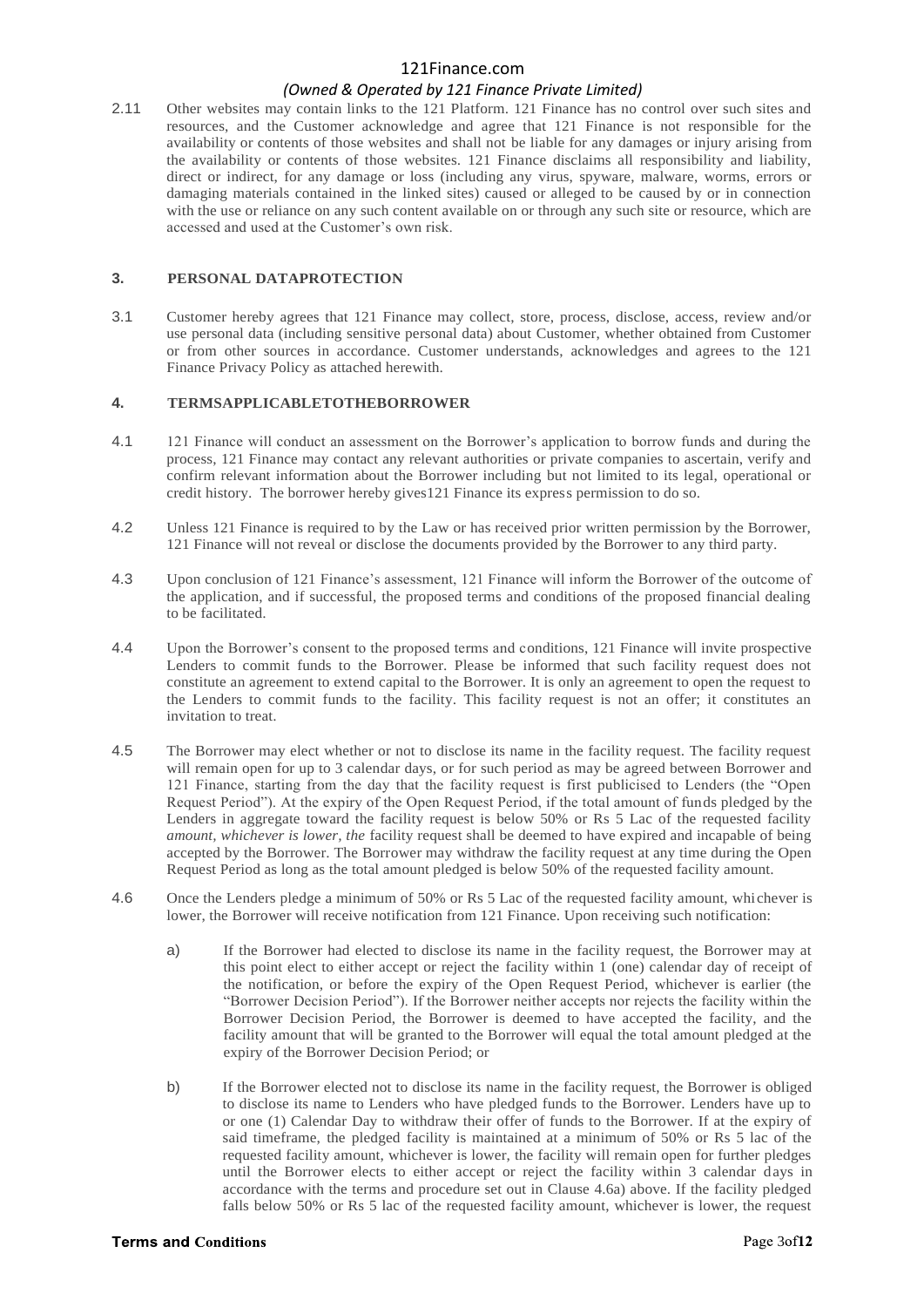# *(Owned & Operated by 121 Finance Private Limited)*

2.11 Other websites may contain links to the 121 Platform. 121 Finance has no control over such sites and resources, and the Customer acknowledge and agree that 121 Finance is not responsible for the availability or contents of those websites and shall not be liable for any damages or injury arising from the availability or contents of those websites. 121 Finance disclaims all responsibility and liability, direct or indirect, for any damage or loss (including any virus, spyware, malware, worms, errors or damaging materials contained in the linked sites) caused or alleged to be caused by or in connection with the use or reliance on any such content available on or through any such site or resource, which are accessed and used at the Customer's own risk.

### **3. PERSONAL DATAPROTECTION**

3.1 Customer hereby agrees that 121 Finance may collect, store, process, disclose, access, review and/or use personal data (including sensitive personal data) about Customer, whether obtained from Customer or from other sources in accordance. Customer understands, acknowledges and agrees to the 121 Finance Privacy Policy as attached herewith.

# **4. TERMSAPPLICABLETOTHEBORROWER**

- 4.1 121 Finance will conduct an assessment on the Borrower's application to borrow funds and during the process, 121 Finance may contact any relevant authorities or private companies to ascertain, verify and confirm relevant information about the Borrower including but not limited to its legal, operational or credit history. The borrower hereby gives121 Finance its express permission to do so.
- 4.2 Unless 121 Finance is required to by the Law or has received prior written permission by the Borrower, 121 Finance will not reveal or disclose the documents provided by the Borrower to any third party.
- 4.3 Upon conclusion of 121 Finance's assessment, 121 Finance will inform the Borrower of the outcome of the application, and if successful, the proposed terms and conditions of the proposed financial dealing to be facilitated.
- 4.4 Upon the Borrower's consent to the proposed terms and conditions, 121 Finance will invite prospective Lenders to commit funds to the Borrower. Please be informed that such facility request does not constitute an agreement to extend capital to the Borrower. It is only an agreement to open the request to the Lenders to commit funds to the facility. This facility request is not an offer; it constitutes an invitation to treat.
- 4.5 The Borrower may elect whether or not to disclose its name in the facility request. The facility request will remain open for up to 3 calendar days, or for such period as may be agreed between Borrower and 121 Finance, starting from the day that the facility request is first publicised to Lenders (the "Open Request Period"). At the expiry of the Open Request Period, if the total amount of funds pledged by the Lenders in aggregate toward the facility request is below 50% or Rs 5 Lac of the requested facility *amount, whichever is lower, the* facility request shall be deemed to have expired and incapable of being accepted by the Borrower. The Borrower may withdraw the facility request at any time during the Open Request Period as long as the total amount pledged is below 50% of the requested facility amount.
- 4.6 Once the Lenders pledge a minimum of 50% or Rs 5 Lac of the requested facility amount, whichever is lower, the Borrower will receive notification from 121 Finance. Upon receiving such notification:
	- a) If the Borrower had elected to disclose its name in the facility request, the Borrower may at this point elect to either accept or reject the facility within 1 (one) calendar day of receipt of the notification, or before the expiry of the Open Request Period, whichever is earlier (the "Borrower Decision Period"). If the Borrower neither accepts nor rejects the facility within the Borrower Decision Period, the Borrower is deemed to have accepted the facility, and the facility amount that will be granted to the Borrower will equal the total amount pledged at the expiry of the Borrower Decision Period; or
	- b) If the Borrower elected not to disclose its name in the facility request, the Borrower is obliged to disclose its name to Lenders who have pledged funds to the Borrower. Lenders have up to or one (1) Calendar Day to withdraw their offer of funds to the Borrower. If at the expiry of said timeframe, the pledged facility is maintained at a minimum of 50% or Rs 5 lac of the requested facility amount, whichever is lower, the facility will remain open for further pledges until the Borrower elects to either accept or reject the facility within 3 calendar days in accordance with the terms and procedure set out in Clause 4.6a) above. If the facility pledged falls below 50% or Rs 5 lac of the requested facility amount, whichever is lower, the request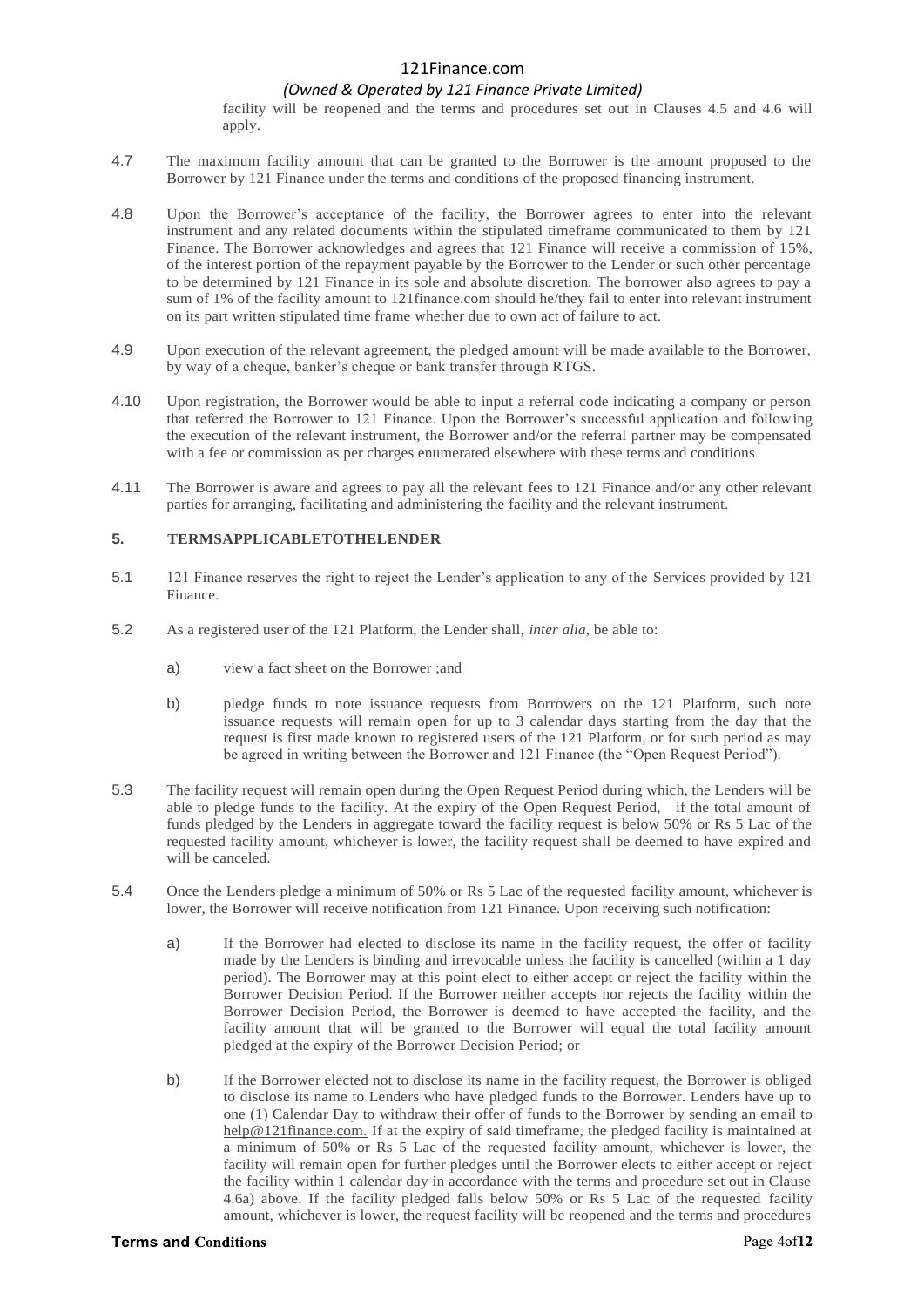## *(Owned & Operated by 121 Finance Private Limited)*

facility will be reopened and the terms and procedures set out in Clauses 4.5 and 4.6 will apply.

- 4.7 The maximum facility amount that can be granted to the Borrower is the amount proposed to the Borrower by 121 Finance under the terms and conditions of the proposed financing instrument.
- 4.8 Upon the Borrower's acceptance of the facility, the Borrower agrees to enter into the relevant instrument and any related documents within the stipulated timeframe communicated to them by 121 Finance. The Borrower acknowledges and agrees that 121 Finance will receive a commission of 15%, of the interest portion of the repayment payable by the Borrower to the Lender or such other percentage to be determined by 121 Finance in its sole and absolute discretion. The borrower also agrees to pay a sum of 1% of the facility amount to 121finance.com should he/they fail to enter into relevant instrument on its part written stipulated time frame whether due to own act of failure to act.
- 4.9 Upon execution of the relevant agreement, the pledged amount will be made available to the Borrower, by way of a cheque, banker's cheque or bank transfer through RTGS.
- 4.10 Upon registration, the Borrower would be able to input a referral code indicating a company or person that referred the Borrower to 121 Finance. Upon the Borrower's successful application and following the execution of the relevant instrument, the Borrower and/or the referral partner may be compensated with a fee or commission as per charges enumerated elsewhere with these terms and conditions
- 4.11 The Borrower is aware and agrees to pay all the relevant fees to 121 Finance and/or any other relevant parties for arranging, facilitating and administering the facility and the relevant instrument.

### **5. TERMSAPPLICABLETOTHELENDER**

- 5.1 121 Finance reserves the right to reject the Lender's application to any of the Services provided by 121 Finance.
- 5.2 As a registered user of the 121 Platform, the Lender shall, *inter alia,* be able to:
	- a) view a fact sheet on the Borrower ;and
	- b) pledge funds to note issuance requests from Borrowers on the 121 Platform, such note issuance requests will remain open for up to 3 calendar days starting from the day that the request is first made known to registered users of the 121 Platform, or for such period as may be agreed in writing between the Borrower and 121 Finance (the "Open Request Period").
- 5.3 The facility request will remain open during the Open Request Period during which, the Lenders will be able to pledge funds to the facility. At the expiry of the Open Request Period, if the total amount of funds pledged by the Lenders in aggregate toward the facility request is below 50% or Rs 5 Lac of the requested facility amount, whichever is lower, the facility request shall be deemed to have expired and will be canceled.
- 5.4 Once the Lenders pledge a minimum of 50% or Rs 5 Lac of the requested facility amount, whichever is lower, the Borrower will receive notification from 121 Finance. Upon receiving such notification:
	- a) If the Borrower had elected to disclose its name in the facility request, the offer of facility made by the Lenders is binding and irrevocable unless the facility is cancelled (within a 1 day period). The Borrower may at this point elect to either accept or reject the facility within the Borrower Decision Period. If the Borrower neither accepts nor rejects the facility within the Borrower Decision Period, the Borrower is deemed to have accepted the facility, and the facility amount that will be granted to the Borrower will equal the total facility amount pledged at the expiry of the Borrower Decision Period; or
	- b) If the Borrower elected not to disclose its name in the facility request, the Borrower is obliged to disclose its name to Lenders who have pledged funds to the Borrower. Lenders have up to one (1) Calendar Day to withdraw their offer of funds to the Borrower by sending an email to [help@121finance.com.](mailto:help@121finance.com.) If at the expiry of said timeframe, the pledged facility is maintained at a minimum of 50% or Rs 5 Lac of the requested facility amount, whichever is lower, the facility will remain open for further pledges until the Borrower elects to either accept or reject the facility within 1 calendar day in accordance with the terms and procedure set out in Clause 4.6a) above. If the facility pledged falls below 50% or Rs 5 Lac of the requested facility amount, whichever is lower, the request facility will be reopened and the terms and procedures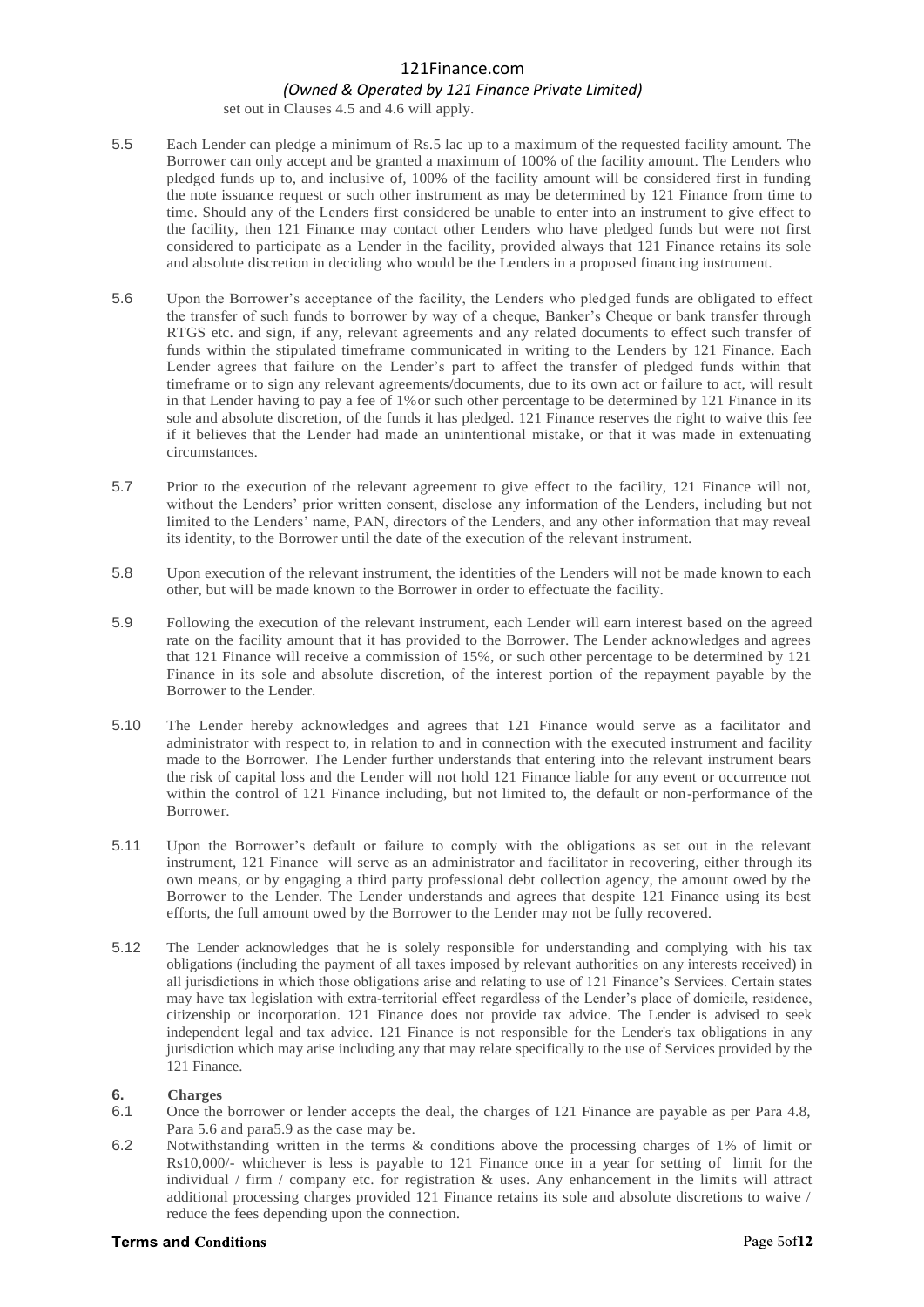## *(Owned & Operated by 121 Finance Private Limited)*

set out in Clauses 4.5 and 4.6 will apply.

- 5.5 Each Lender can pledge a minimum of Rs.5 lac up to a maximum of the requested facility amount. The Borrower can only accept and be granted a maximum of 100% of the facility amount. The Lenders who pledged funds up to, and inclusive of, 100% of the facility amount will be considered first in funding the note issuance request or such other instrument as may be determined by 121 Finance from time to time. Should any of the Lenders first considered be unable to enter into an instrument to give effect to the facility, then 121 Finance may contact other Lenders who have pledged funds but were not first considered to participate as a Lender in the facility, provided always that 121 Finance retains its sole and absolute discretion in deciding who would be the Lenders in a proposed financing instrument.
- 5.6 Upon the Borrower's acceptance of the facility, the Lenders who pledged funds are obligated to effect the transfer of such funds to borrower by way of a cheque, Banker's Cheque or bank transfer through RTGS etc. and sign, if any, relevant agreements and any related documents to effect such transfer of funds within the stipulated timeframe communicated in writing to the Lenders by 121 Finance. Each Lender agrees that failure on the Lender's part to affect the transfer of pledged funds within that timeframe or to sign any relevant agreements/documents, due to its own act or failure to act, will result in that Lender having to pay a fee of 1%or such other percentage to be determined by 121 Finance in its sole and absolute discretion, of the funds it has pledged. 121 Finance reserves the right to waive this fee if it believes that the Lender had made an unintentional mistake, or that it was made in extenuating circumstances.
- 5.7 Prior to the execution of the relevant agreement to give effect to the facility, 121 Finance will not, without the Lenders' prior written consent, disclose any information of the Lenders, including but not limited to the Lenders' name, PAN, directors of the Lenders, and any other information that may reveal its identity, to the Borrower until the date of the execution of the relevant instrument.
- 5.8 Upon execution of the relevant instrument, the identities of the Lenders will not be made known to each other, but will be made known to the Borrower in order to effectuate the facility.
- 5.9 Following the execution of the relevant instrument, each Lender will earn interest based on the agreed rate on the facility amount that it has provided to the Borrower. The Lender acknowledges and agrees that 121 Finance will receive a commission of 15%, or such other percentage to be determined by 121 Finance in its sole and absolute discretion, of the interest portion of the repayment payable by the Borrower to the Lender.
- 5.10 The Lender hereby acknowledges and agrees that 121 Finance would serve as a facilitator and administrator with respect to, in relation to and in connection with the executed instrument and facility made to the Borrower. The Lender further understands that entering into the relevant instrument bears the risk of capital loss and the Lender will not hold 121 Finance liable for any event or occurrence not within the control of 121 Finance including, but not limited to, the default or non-performance of the Borrower.
- 5.11 Upon the Borrower's default or failure to comply with the obligations as set out in the relevant instrument, 121 Finance will serve as an administrator and facilitator in recovering, either through its own means, or by engaging a third party professional debt collection agency, the amount owed by the Borrower to the Lender. The Lender understands and agrees that despite 121 Finance using its best efforts, the full amount owed by the Borrower to the Lender may not be fully recovered.
- 5.12 The Lender acknowledges that he is solely responsible for understanding and complying with his tax obligations (including the payment of all taxes imposed by relevant authorities on any interests received) in all jurisdictions in which those obligations arise and relating to use of 121 Finance's Services. Certain states may have tax legislation with extra-territorial effect regardless of the Lender's place of domicile, residence, citizenship or incorporation. 121 Finance does not provide tax advice. The Lender is advised to seek independent legal and tax advice. 121 Finance is not responsible for the Lender's tax obligations in any jurisdiction which may arise including any that may relate specifically to the use of Services provided by the 121 Finance.

#### **6. Charges**

- 6.1 Once the borrower or lender accepts the deal, the charges of 121 Finance are payable as per Para 4.8, Para 5.6 and para5.9 as the case may be.
- 6.2 Notwithstanding written in the terms & conditions above the processing charges of 1% of limit or Rs10,000/- whichever is less is payable to 121 Finance once in a year for setting of limit for the individual / firm / company etc. for registration & uses. Any enhancement in the limits will attract additional processing charges provided 121 Finance retains its sole and absolute discretions to waive / reduce the fees depending upon the connection.

#### **Terms and Conditions**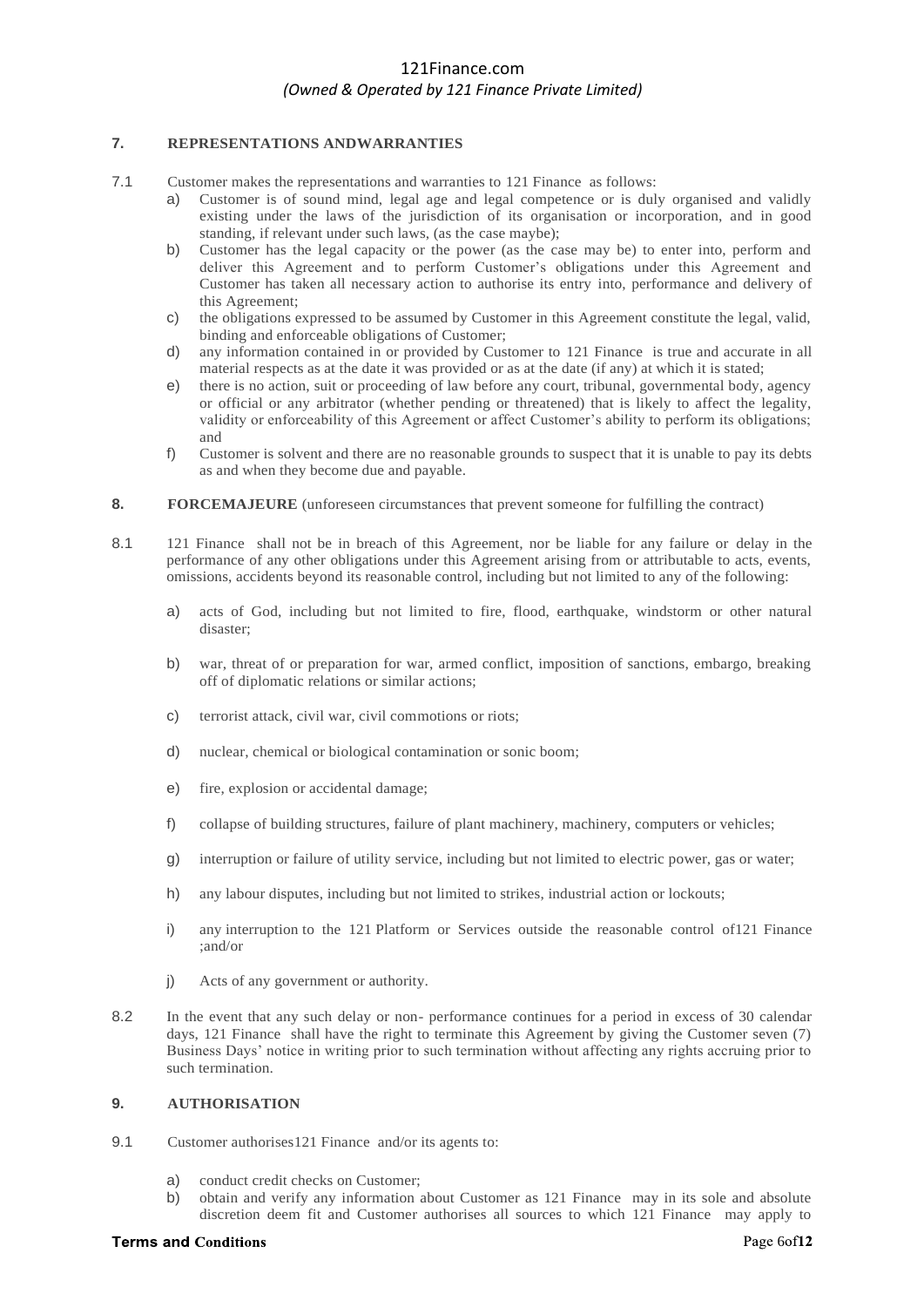### **7. REPRESENTATIONS ANDWARRANTIES**

- 7.1 Customer makes the representations and warranties to 121 Finance as follows:
	- a) Customer is of sound mind, legal age and legal competence or is duly organised and validly existing under the laws of the jurisdiction of its organisation or incorporation, and in good standing, if relevant under such laws, (as the case maybe);
	- b) Customer has the legal capacity or the power (as the case may be) to enter into, perform and deliver this Agreement and to perform Customer's obligations under this Agreement and Customer has taken all necessary action to authorise its entry into, performance and delivery of this Agreement;
	- c) the obligations expressed to be assumed by Customer in this Agreement constitute the legal, valid, binding and enforceable obligations of Customer;
	- d) any information contained in or provided by Customer to 121 Finance is true and accurate in all material respects as at the date it was provided or as at the date (if any) at which it is stated;
	- e) there is no action, suit or proceeding of law before any court, tribunal, governmental body, agency or official or any arbitrator (whether pending or threatened) that is likely to affect the legality, validity or enforceability of this Agreement or affect Customer's ability to perform its obligations; and
	- f) Customer is solvent and there are no reasonable grounds to suspect that it is unable to pay its debts as and when they become due and payable.
- **8. FORCEMAJEURE** (unforeseen circumstances that prevent someone for fulfilling the contract)
- 8.1 121 Finance shall not be in breach of this Agreement, nor be liable for any failure or delay in the performance of any other obligations under this Agreement arising from or attributable to acts, events, omissions, accidents beyond its reasonable control, including but not limited to any of the following:
	- a) acts of God, including but not limited to fire, flood, earthquake, windstorm or other natural disaster;
	- b) war, threat of or preparation for war, armed conflict, imposition of sanctions, embargo, breaking off of diplomatic relations or similar actions;
	- c) terrorist attack, civil war, civil commotions or riots;
	- d) nuclear, chemical or biological contamination or sonic boom;
	- e) fire, explosion or accidental damage;
	- f) collapse of building structures, failure of plant machinery, machinery, computers or vehicles;
	- g) interruption or failure of utility service, including but not limited to electric power, gas or water;
	- h) any labour disputes, including but not limited to strikes, industrial action or lockouts;
	- i) any interruption to the 121 Platform or Services outside the reasonable control of121 Finance ;and/or
	- j) Acts of any government or authority.
- 8.2 In the event that any such delay or non- performance continues for a period in excess of 30 calendar days, 121 Finance shall have the right to terminate this Agreement by giving the Customer seven (7) Business Days' notice in writing prior to such termination without affecting any rights accruing prior to such termination.

#### **9. AUTHORISATION**

- 9.1 Customer authorises 121 Finance and/or its agents to:
	- a) conduct credit checks on Customer;
	- b) obtain and verify any information about Customer as 121 Finance may in its sole and absolute discretion deem fit and Customer authorises all sources to which 121 Finance may apply to

#### **Terms and Conditions**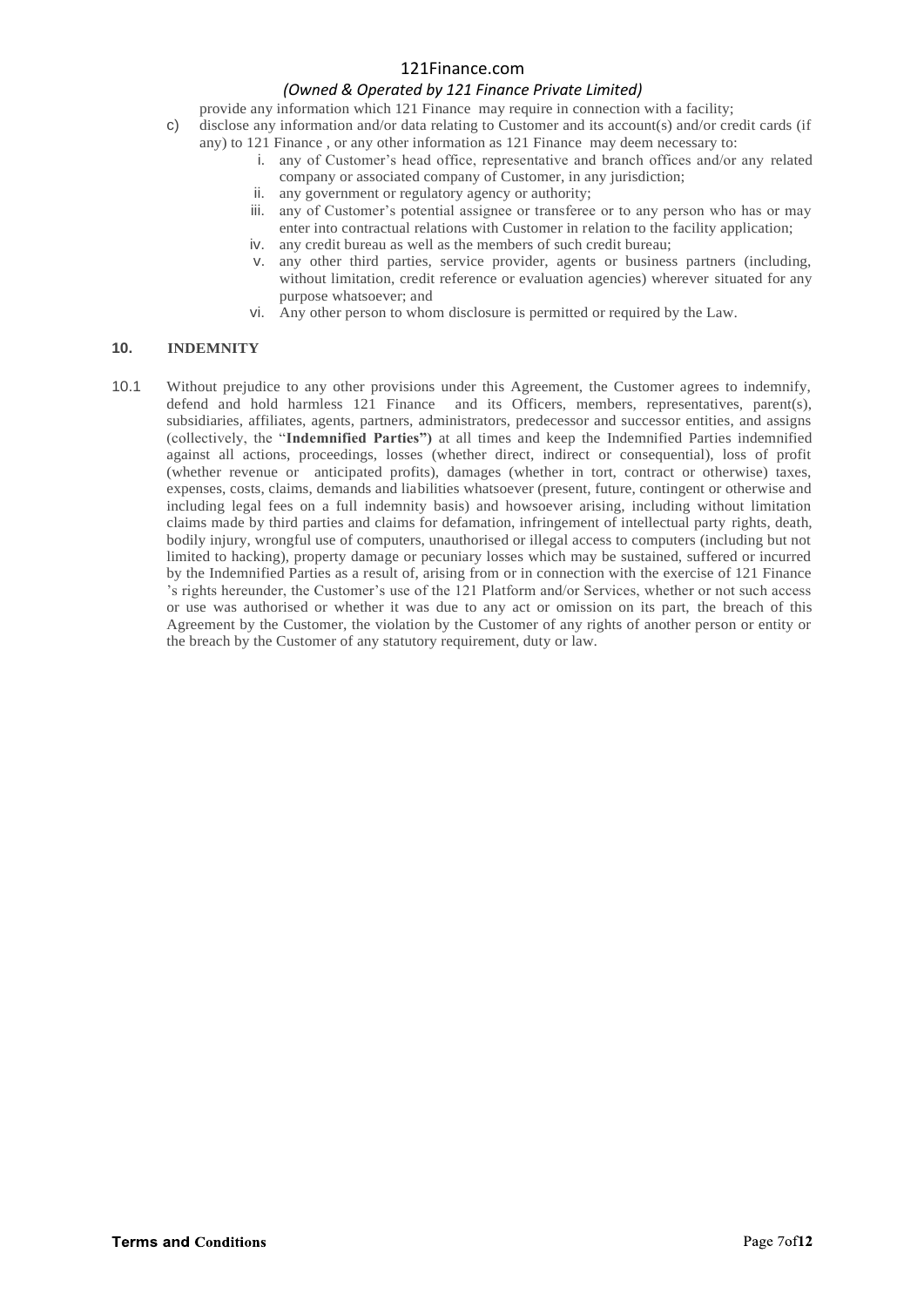# *(Owned & Operated by 121 Finance Private Limited)*

provide any information which 121 Finance may require in connection with a facility;

- c) disclose any information and/or data relating to Customer and its account(s) and/or credit cards (if any) to 121 Finance , or any other information as 121 Finance may deem necessary to:
	- i. any of Customer's head office, representative and branch offices and/or any related company or associated company of Customer, in any jurisdiction;
	- ii. any government or regulatory agency or authority;
	- iii. any of Customer's potential assignee or transferee or to any person who has or may enter into contractual relations with Customer in relation to the facility application;
	- iv. any credit bureau as well as the members of such credit bureau;
	- v. any other third parties, service provider, agents or business partners (including, without limitation, credit reference or evaluation agencies) wherever situated for any purpose whatsoever; and
	- vi. Any other person to whom disclosure is permitted or required by the Law.

## **10. INDEMNITY**

10.1 Without prejudice to any other provisions under this Agreement, the Customer agrees to indemnify, defend and hold harmless 121 Finance and its Officers, members, representatives, parent(s), subsidiaries, affiliates, agents, partners, administrators, predecessor and successor entities, and assigns (collectively, the "**Indemnified Parties")** at all times and keep the Indemnified Parties indemnified against all actions, proceedings, losses (whether direct, indirect or consequential), loss of profit (whether revenue or anticipated profits), damages (whether in tort, contract or otherwise) taxes, expenses, costs, claims, demands and liabilities whatsoever (present, future, contingent or otherwise and including legal fees on a full indemnity basis) and howsoever arising, including without limitation claims made by third parties and claims for defamation, infringement of intellectual party rights, death, bodily injury, wrongful use of computers, unauthorised or illegal access to computers (including but not limited to hacking), property damage or pecuniary losses which may be sustained, suffered or incurred by the Indemnified Parties as a result of, arising from or in connection with the exercise of 121 Finance 's rights hereunder, the Customer's use of the 121 Platform and/or Services, whether or not such access or use was authorised or whether it was due to any act or omission on its part, the breach of this Agreement by the Customer, the violation by the Customer of any rights of another person or entity or the breach by the Customer of any statutory requirement, duty or law.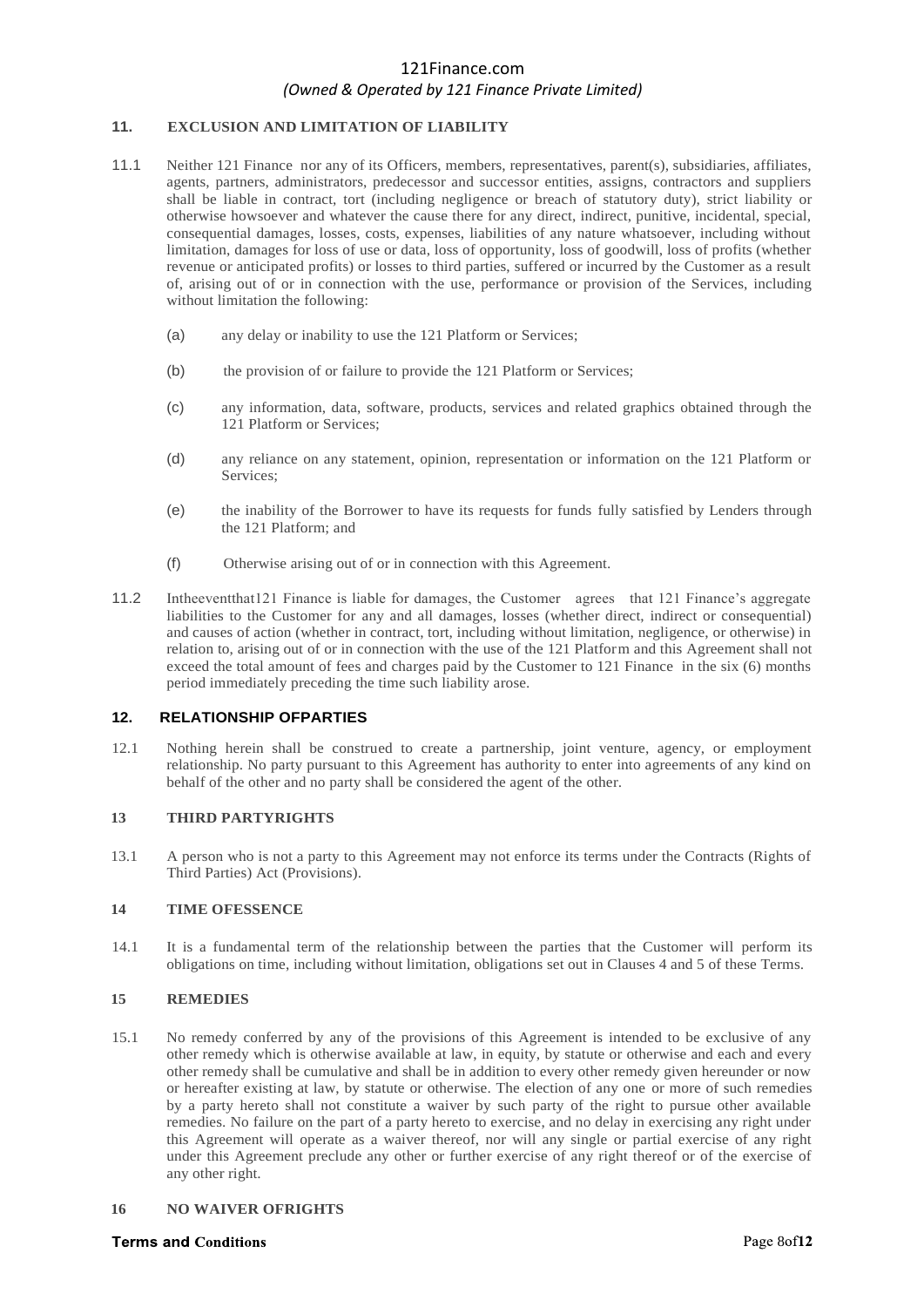# **11. EXCLUSION AND LIMITATION OF LIABILITY**

- 11.1 Neither 121 Finance nor any of its Officers, members, representatives, parent(s), subsidiaries, affiliates, agents, partners, administrators, predecessor and successor entities, assigns, contractors and suppliers shall be liable in contract, tort (including negligence or breach of statutory duty), strict liability or otherwise howsoever and whatever the cause there for any direct, indirect, punitive, incidental, special, consequential damages, losses, costs, expenses, liabilities of any nature whatsoever, including without limitation, damages for loss of use or data, loss of opportunity, loss of goodwill, loss of profits (whether revenue or anticipated profits) or losses to third parties, suffered or incurred by the Customer as a result of, arising out of or in connection with the use, performance or provision of the Services, including without limitation the following:
	- (a) any delay or inability to use the 121 Platform or Services;
	- (b) the provision of or failure to provide the 121 Platform or Services;
	- (c) any information, data, software, products, services and related graphics obtained through the 121 Platform or Services;
	- (d) any reliance on any statement, opinion, representation or information on the 121 Platform or Services;
	- (e) the inability of the Borrower to have its requests for funds fully satisfied by Lenders through the 121 Platform; and
	- (f) Otherwise arising out of or in connection with this Agreement.
- 11.2 Intheeventthat121 Finance is liable for damages, the Customer agrees that 121 Finance's aggregate liabilities to the Customer for any and all damages, losses (whether direct, indirect or consequential) and causes of action (whether in contract, tort, including without limitation, negligence, or otherwise) in relation to, arising out of or in connection with the use of the 121 Platform and this Agreement shall not exceed the total amount of fees and charges paid by the Customer to 121 Finance in the six (6) months period immediately preceding the time such liability arose.

## **12. RELATIONSHIP OFPARTIES**

12.1 Nothing herein shall be construed to create a partnership, joint venture, agency, or employment relationship. No party pursuant to this Agreement has authority to enter into agreements of any kind on behalf of the other and no party shall be considered the agent of the other.

## **13 THIRD PARTYRIGHTS**

13.1 A person who is not a party to this Agreement may not enforce its terms under the Contracts (Rights of Third Parties) Act (Provisions).

# **14 TIME OFESSENCE**

14.1 It is a fundamental term of the relationship between the parties that the Customer will perform its obligations on time, including without limitation, obligations set out in Clauses 4 and 5 of these Terms.

#### **15 REMEDIES**

15.1 No remedy conferred by any of the provisions of this Agreement is intended to be exclusive of any other remedy which is otherwise available at law, in equity, by statute or otherwise and each and every other remedy shall be cumulative and shall be in addition to every other remedy given hereunder or now or hereafter existing at law, by statute or otherwise. The election of any one or more of such remedies by a party hereto shall not constitute a waiver by such party of the right to pursue other available remedies. No failure on the part of a party hereto to exercise, and no delay in exercising any right under this Agreement will operate as a waiver thereof, nor will any single or partial exercise of any right under this Agreement preclude any other or further exercise of any right thereof or of the exercise of any other right.

#### **16 NO WAIVER OFRIGHTS**